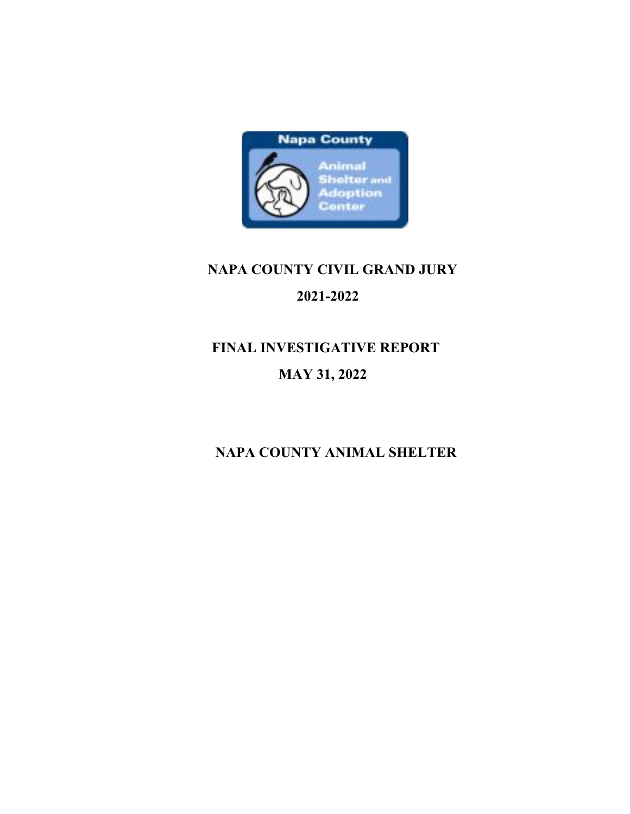

# **NAPA COUNTY CIVIL GRAND JURY 2021-2022**

# **FINAL INVESTIGATIVE REPORT MAY 31, 2022**

 **NAPA COUNTY ANIMAL SHELTER**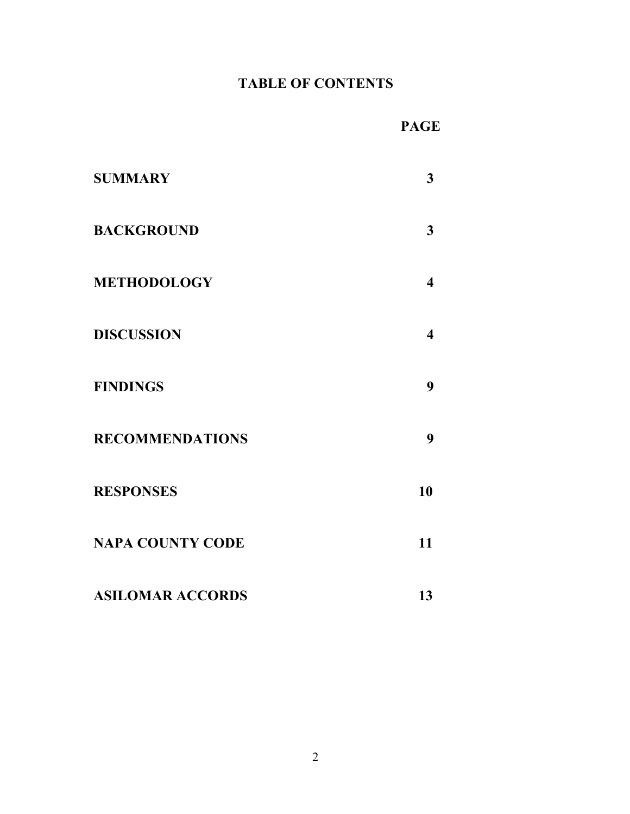# **TABLE OF CONTENTS**

# **PAGE**

| <b>SUMMARY</b>          | 3  |
|-------------------------|----|
| <b>BACKGROUND</b>       | 3  |
| <b>METHODOLOGY</b>      | 4  |
| <b>DISCUSSION</b>       | 4  |
| <b>FINDINGS</b>         | 9  |
| <b>RECOMMENDATIONS</b>  | 9  |
| <b>RESPONSES</b>        | 10 |
| <b>NAPA COUNTY CODE</b> | 11 |
| <b>ASILOMAR ACCORDS</b> | 13 |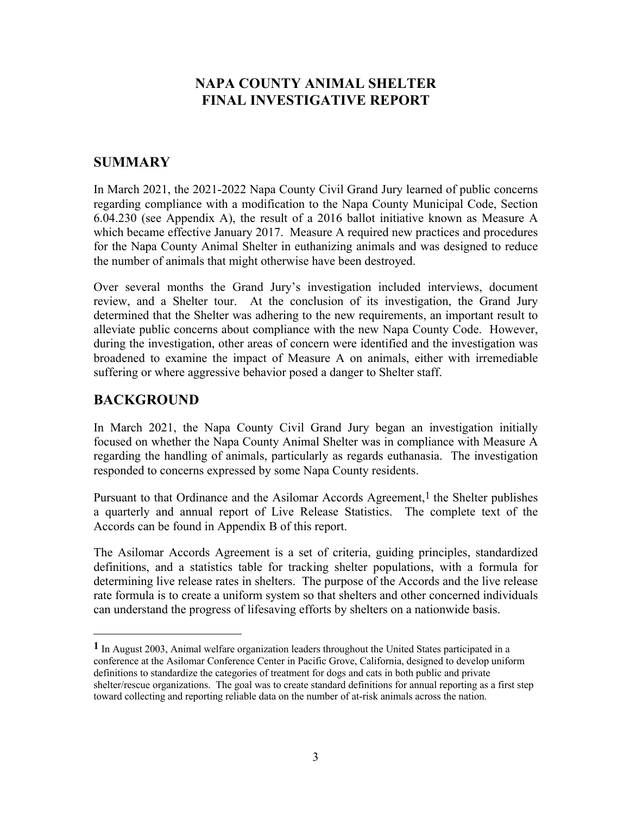# **NAPA COUNTY ANIMAL SHELTER FINAL INVESTIGATIVE REPORT**

### **SUMMARY**

In March 2021, the 2021-2022 Napa County Civil Grand Jury learned of public concerns regarding compliance with a modification to the Napa County Municipal Code, Section 6.04.230 (see Appendix A), the result of a 2016 ballot initiative known as Measure A which became effective January 2017. Measure A required new practices and procedures for the Napa County Animal Shelter in euthanizing animals and was designed to reduce the number of animals that might otherwise have been destroyed.

Over several months the Grand Jury's investigation included interviews, document review, and a Shelter tour. At the conclusion of its investigation, the Grand Jury determined that the Shelter was adhering to the new requirements, an important result to alleviate public concerns about compliance with the new Napa County Code. However, during the investigation, other areas of concern were identified and the investigation was broadened to examine the impact of Measure A on animals, either with irremediable suffering or where aggressive behavior posed a danger to Shelter staff.

# **BACKGROUND**

In March 2021, the Napa County Civil Grand Jury began an investigation initially focused on whether the Napa County Animal Shelter was in compliance with Measure A regarding the handling of animals, particularly as regards euthanasia. The investigation responded to concerns expressed by some Napa County residents.

Pursuant to that Ordinance and the Asilomar Accords Agreement,<sup>1</sup> the Shelter publishes a quarterly and annual report of Live Release Statistics. The complete text of the Accords can be found in Appendix B of this report.

The Asilomar Accords Agreement is a set of criteria, guiding principles, standardized definitions, and a statistics table for tracking shelter populations, with a formula for determining live release rates in shelters. The purpose of the Accords and the live release rate formula is to create a uniform system so that shelters and other concerned individuals can understand the progress of lifesaving efforts by shelters on a nationwide basis.

**<sup>1</sup>** In August 2003, Animal welfare organization leaders throughout the United States participated in a conference at the Asilomar Conference Center in Pacific Grove, California, designed to develop uniform definitions to standardize the categories of treatment for dogs and cats in both public and private shelter/rescue organizations. The goal was to create standard definitions for annual reporting as a first step toward collecting and reporting reliable data on the number of at-risk animals across the nation.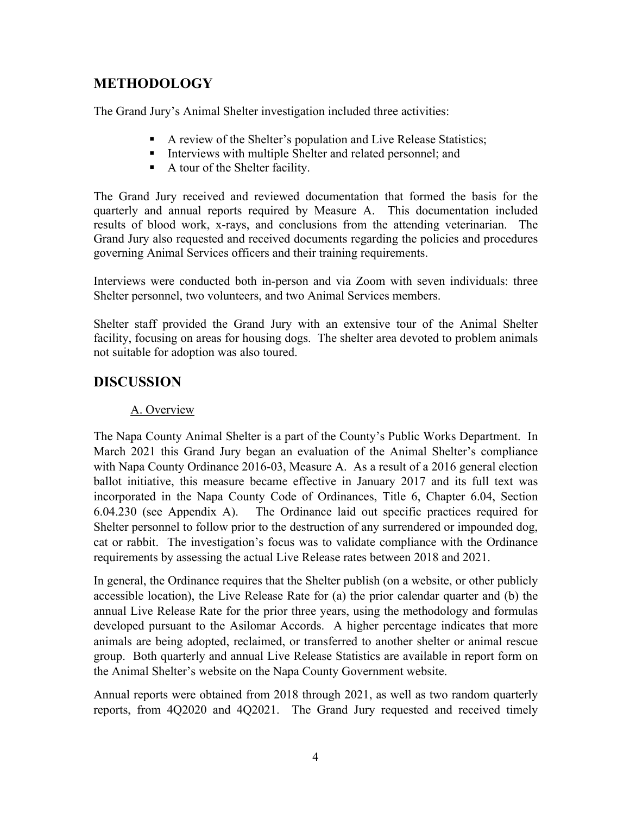# **METHODOLOGY**

The Grand Jury's Animal Shelter investigation included three activities:

- A review of the Shelter's population and Live Release Statistics;
- Interviews with multiple Shelter and related personnel; and
- A tour of the Shelter facility.

The Grand Jury received and reviewed documentation that formed the basis for the quarterly and annual reports required by Measure A. This documentation included results of blood work, x-rays, and conclusions from the attending veterinarian. The Grand Jury also requested and received documents regarding the policies and procedures governing Animal Services officers and their training requirements.

Interviews were conducted both in-person and via Zoom with seven individuals: three Shelter personnel, two volunteers, and two Animal Services members.

Shelter staff provided the Grand Jury with an extensive tour of the Animal Shelter facility, focusing on areas for housing dogs. The shelter area devoted to problem animals not suitable for adoption was also toured.

### **DISCUSSION**

### A. Overview

The Napa County Animal Shelter is a part of the County's Public Works Department. In March 2021 this Grand Jury began an evaluation of the Animal Shelter's compliance with Napa County Ordinance 2016-03, Measure A. As a result of a 2016 general election ballot initiative, this measure became effective in January 2017 and its full text was incorporated in the Napa County Code of Ordinances, Title 6, Chapter 6.04, Section 6.04.230 (see Appendix A). The Ordinance laid out specific practices required for Shelter personnel to follow prior to the destruction of any surrendered or impounded dog, cat or rabbit. The investigation's focus was to validate compliance with the Ordinance requirements by assessing the actual Live Release rates between 2018 and 2021.

In general, the Ordinance requires that the Shelter publish (on a website, or other publicly accessible location), the Live Release Rate for (a) the prior calendar quarter and (b) the annual Live Release Rate for the prior three years, using the methodology and formulas developed pursuant to the Asilomar Accords. A higher percentage indicates that more animals are being adopted, reclaimed, or transferred to another shelter or animal rescue group. Both quarterly and annual Live Release Statistics are available in report form on the Animal Shelter's website on the Napa County Government website.

Annual reports were obtained from 2018 through 2021, as well as two random quarterly reports, from 4Q2020 and 4Q2021. The Grand Jury requested and received timely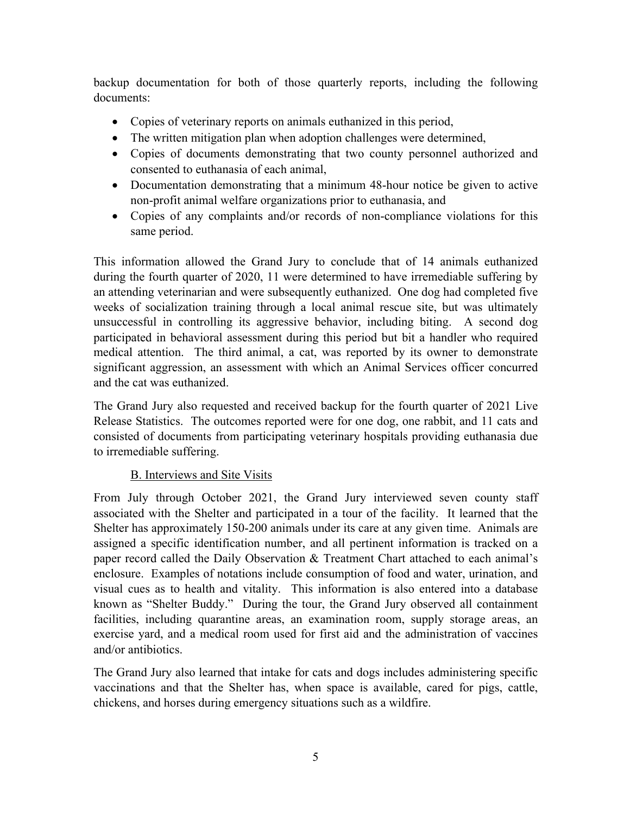backup documentation for both of those quarterly reports, including the following documents:

- Copies of veterinary reports on animals euthanized in this period,
- The written mitigation plan when adoption challenges were determined,
- Copies of documents demonstrating that two county personnel authorized and consented to euthanasia of each animal,
- Documentation demonstrating that a minimum 48-hour notice be given to active non-profit animal welfare organizations prior to euthanasia, and
- Copies of any complaints and/or records of non-compliance violations for this same period.

This information allowed the Grand Jury to conclude that of 14 animals euthanized during the fourth quarter of 2020, 11 were determined to have irremediable suffering by an attending veterinarian and were subsequently euthanized. One dog had completed five weeks of socialization training through a local animal rescue site, but was ultimately unsuccessful in controlling its aggressive behavior, including biting. A second dog participated in behavioral assessment during this period but bit a handler who required medical attention. The third animal, a cat, was reported by its owner to demonstrate significant aggression, an assessment with which an Animal Services officer concurred and the cat was euthanized.

The Grand Jury also requested and received backup for the fourth quarter of 2021 Live Release Statistics. The outcomes reported were for one dog, one rabbit, and 11 cats and consisted of documents from participating veterinary hospitals providing euthanasia due to irremediable suffering.

### B. Interviews and Site Visits

From July through October 2021, the Grand Jury interviewed seven county staff associated with the Shelter and participated in a tour of the facility. It learned that the Shelter has approximately 150-200 animals under its care at any given time. Animals are assigned a specific identification number, and all pertinent information is tracked on a paper record called the Daily Observation & Treatment Chart attached to each animal's enclosure. Examples of notations include consumption of food and water, urination, and visual cues as to health and vitality. This information is also entered into a database known as "Shelter Buddy." During the tour, the Grand Jury observed all containment facilities, including quarantine areas, an examination room, supply storage areas, an exercise yard, and a medical room used for first aid and the administration of vaccines and/or antibiotics.

The Grand Jury also learned that intake for cats and dogs includes administering specific vaccinations and that the Shelter has, when space is available, cared for pigs, cattle, chickens, and horses during emergency situations such as a wildfire.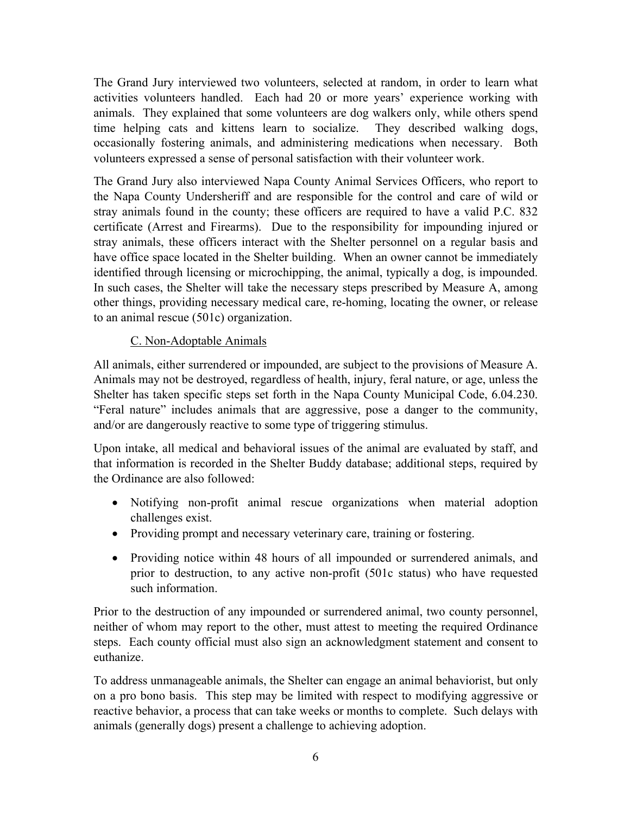The Grand Jury interviewed two volunteers, selected at random, in order to learn what activities volunteers handled. Each had 20 or more years' experience working with animals. They explained that some volunteers are dog walkers only, while others spend time helping cats and kittens learn to socialize. They described walking dogs, occasionally fostering animals, and administering medications when necessary. Both volunteers expressed a sense of personal satisfaction with their volunteer work.

The Grand Jury also interviewed Napa County Animal Services Officers, who report to the Napa County Undersheriff and are responsible for the control and care of wild or stray animals found in the county; these officers are required to have a valid P.C. 832 certificate (Arrest and Firearms). Due to the responsibility for impounding injured or stray animals, these officers interact with the Shelter personnel on a regular basis and have office space located in the Shelter building. When an owner cannot be immediately identified through licensing or microchipping, the animal, typically a dog, is impounded. In such cases, the Shelter will take the necessary steps prescribed by Measure A, among other things, providing necessary medical care, re-homing, locating the owner, or release to an animal rescue (501c) organization.

### C. Non-Adoptable Animals

All animals, either surrendered or impounded, are subject to the provisions of Measure A. Animals may not be destroyed, regardless of health, injury, feral nature, or age, unless the Shelter has taken specific steps set forth in the Napa County Municipal Code, 6.04.230. "Feral nature" includes animals that are aggressive, pose a danger to the community, and/or are dangerously reactive to some type of triggering stimulus.

Upon intake, all medical and behavioral issues of the animal are evaluated by staff, and that information is recorded in the Shelter Buddy database; additional steps, required by the Ordinance are also followed:

- Notifying non-profit animal rescue organizations when material adoption challenges exist.
- Providing prompt and necessary veterinary care, training or fostering.
- Providing notice within 48 hours of all impounded or surrendered animals, and prior to destruction, to any active non-profit (501c status) who have requested such information.

Prior to the destruction of any impounded or surrendered animal, two county personnel, neither of whom may report to the other, must attest to meeting the required Ordinance steps. Each county official must also sign an acknowledgment statement and consent to euthanize.

To address unmanageable animals, the Shelter can engage an animal behaviorist, but only on a pro bono basis. This step may be limited with respect to modifying aggressive or reactive behavior, a process that can take weeks or months to complete. Such delays with animals (generally dogs) present a challenge to achieving adoption.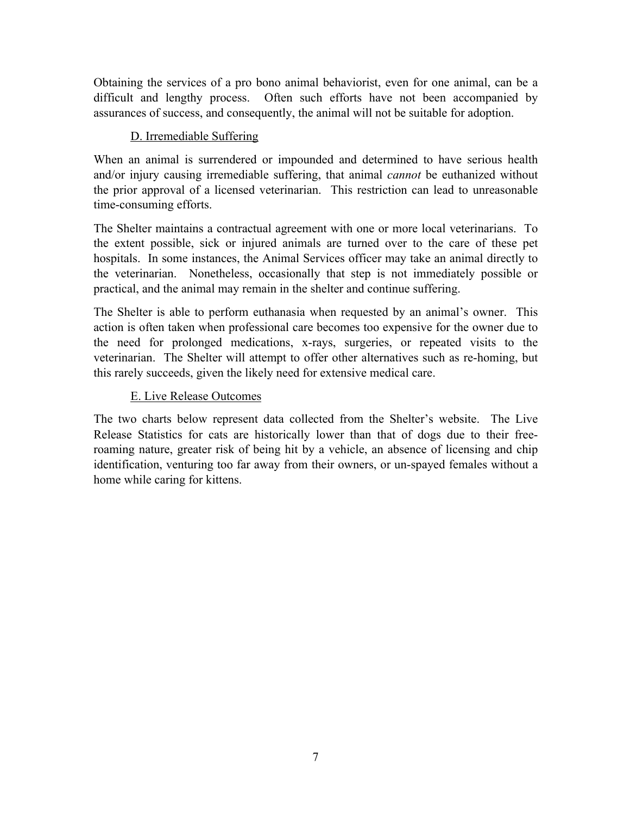Obtaining the services of a pro bono animal behaviorist, even for one animal, can be a difficult and lengthy process. Often such efforts have not been accompanied by assurances of success, and consequently, the animal will not be suitable for adoption.

### D. Irremediable Suffering

When an animal is surrendered or impounded and determined to have serious health and/or injury causing irremediable suffering, that animal *cannot* be euthanized without the prior approval of a licensed veterinarian. This restriction can lead to unreasonable time-consuming efforts.

The Shelter maintains a contractual agreement with one or more local veterinarians. To the extent possible, sick or injured animals are turned over to the care of these pet hospitals. In some instances, the Animal Services officer may take an animal directly to the veterinarian. Nonetheless, occasionally that step is not immediately possible or practical, and the animal may remain in the shelter and continue suffering.

The Shelter is able to perform euthanasia when requested by an animal's owner. This action is often taken when professional care becomes too expensive for the owner due to the need for prolonged medications, x-rays, surgeries, or repeated visits to the veterinarian. The Shelter will attempt to offer other alternatives such as re-homing, but this rarely succeeds, given the likely need for extensive medical care.

### E. Live Release Outcomes

The two charts below represent data collected from the Shelter's website. The Live Release Statistics for cats are historically lower than that of dogs due to their freeroaming nature, greater risk of being hit by a vehicle, an absence of licensing and chip identification, venturing too far away from their owners, or un-spayed females without a home while caring for kittens.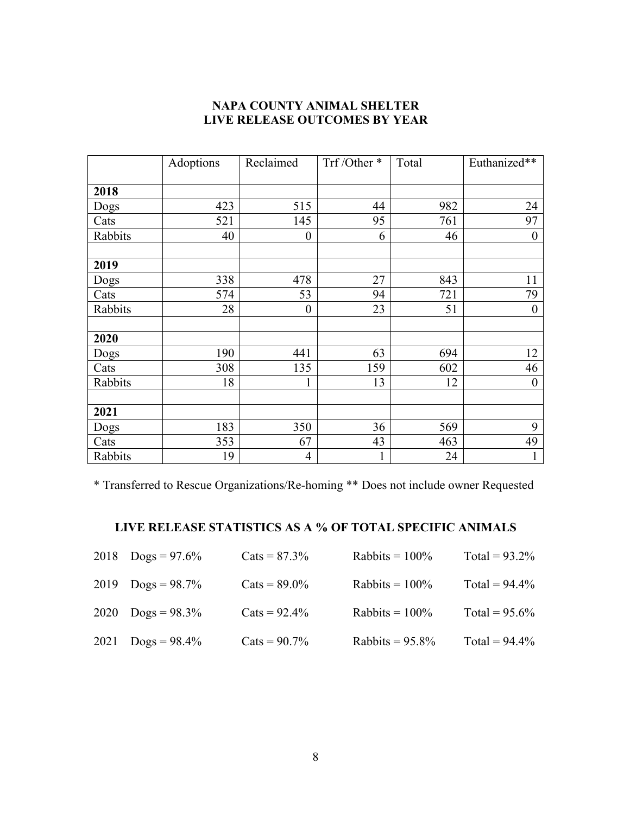### **NAPA COUNTY ANIMAL SHELTER LIVE RELEASE OUTCOMES BY YEAR**

|         | Adoptions | Reclaimed        | Trf/Other* | Total | Euthanized**     |
|---------|-----------|------------------|------------|-------|------------------|
|         |           |                  |            |       |                  |
| 2018    |           |                  |            |       |                  |
| Dogs    | 423       | 515              | 44         | 982   | 24               |
| Cats    | 521       | 145              | 95         | 761   | 97               |
| Rabbits | 40        | $\boldsymbol{0}$ | 6          | 46    | $\boldsymbol{0}$ |
|         |           |                  |            |       |                  |
| 2019    |           |                  |            |       |                  |
| Dogs    | 338       | 478              | 27         | 843   | 11               |
| Cats    | 574       | 53               | 94         | 721   | 79               |
| Rabbits | 28        | $\boldsymbol{0}$ | 23         | 51    | $\boldsymbol{0}$ |
|         |           |                  |            |       |                  |
| 2020    |           |                  |            |       |                  |
| Dogs    | 190       | 441              | 63         | 694   | 12               |
| Cats    | 308       | 135              | 159        | 602   | 46               |
| Rabbits | 18        | $\mathbf{1}$     | 13         | 12    | $\overline{0}$   |
| 2021    |           |                  |            |       |                  |
| Dogs    | 183       | 350              | 36         | 569   | 9                |
| Cats    | 353       | 67               | 43         | 463   | 49               |
| Rabbits | 19        | 4                | 1          | 24    | 1                |

\* Transferred to Rescue Organizations/Re-homing \*\* Does not include owner Requested

# **LIVE RELEASE STATISTICS AS A % OF TOTAL SPECIFIC ANIMALS**

| 2018 $\text{Dogs} = 97.6\%$ | $\text{Cats} = 87.3\%$ | Rabbits = $100\%$  | Total = $93.2\%$ |
|-----------------------------|------------------------|--------------------|------------------|
| 2019 $\text{Dogs} = 98.7\%$ | $\text{Cats} = 89.0\%$ | Rabbits = $100\%$  | Total = $94.4\%$ |
| 2020 $\text{Dogs} = 98.3\%$ | $\text{Cats} = 92.4\%$ | Rabbits = $100\%$  | Total = $95.6\%$ |
| 2021 Dogs = $98.4\%$        | $\text{Cats} = 90.7\%$ | Rabbits = $95.8\%$ | Total = $94.4\%$ |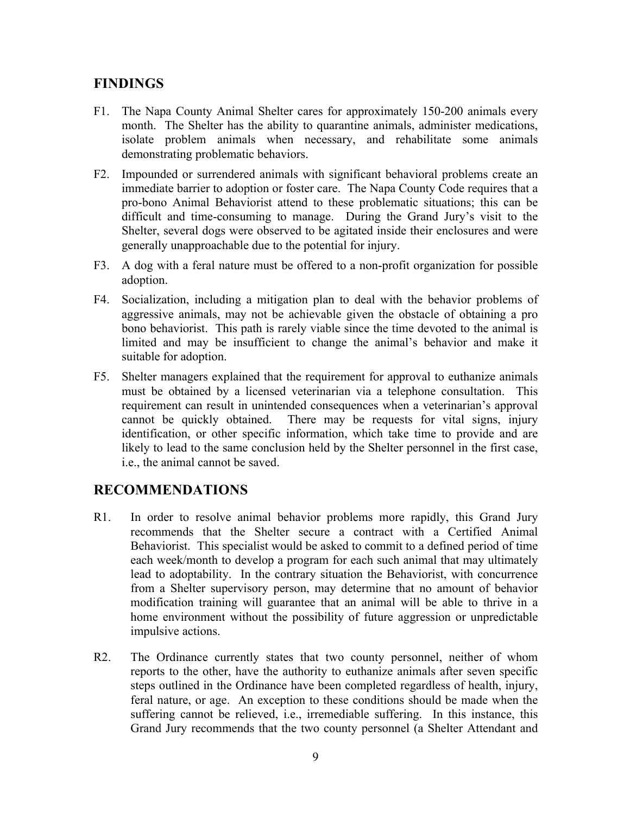# **FINDINGS**

- F1. The Napa County Animal Shelter cares for approximately 150-200 animals every month. The Shelter has the ability to quarantine animals, administer medications, isolate problem animals when necessary, and rehabilitate some animals demonstrating problematic behaviors.
- F2. Impounded or surrendered animals with significant behavioral problems create an immediate barrier to adoption or foster care. The Napa County Code requires that a pro-bono Animal Behaviorist attend to these problematic situations; this can be difficult and time-consuming to manage. During the Grand Jury's visit to the Shelter, several dogs were observed to be agitated inside their enclosures and were generally unapproachable due to the potential for injury.
- F3. A dog with a feral nature must be offered to a non-profit organization for possible adoption.
- F4. Socialization, including a mitigation plan to deal with the behavior problems of aggressive animals, may not be achievable given the obstacle of obtaining a pro bono behaviorist. This path is rarely viable since the time devoted to the animal is limited and may be insufficient to change the animal's behavior and make it suitable for adoption.
- F5. Shelter managers explained that the requirement for approval to euthanize animals must be obtained by a licensed veterinarian via a telephone consultation. This requirement can result in unintended consequences when a veterinarian's approval cannot be quickly obtained. There may be requests for vital signs, injury identification, or other specific information, which take time to provide and are likely to lead to the same conclusion held by the Shelter personnel in the first case, i.e., the animal cannot be saved.

# **RECOMMENDATIONS**

- R1. In order to resolve animal behavior problems more rapidly, this Grand Jury recommends that the Shelter secure a contract with a Certified Animal Behaviorist. This specialist would be asked to commit to a defined period of time each week/month to develop a program for each such animal that may ultimately lead to adoptability. In the contrary situation the Behaviorist, with concurrence from a Shelter supervisory person, may determine that no amount of behavior modification training will guarantee that an animal will be able to thrive in a home environment without the possibility of future aggression or unpredictable impulsive actions.
- R2. The Ordinance currently states that two county personnel, neither of whom reports to the other, have the authority to euthanize animals after seven specific steps outlined in the Ordinance have been completed regardless of health, injury, feral nature, or age. An exception to these conditions should be made when the suffering cannot be relieved, i.e., irremediable suffering. In this instance, this Grand Jury recommends that the two county personnel (a Shelter Attendant and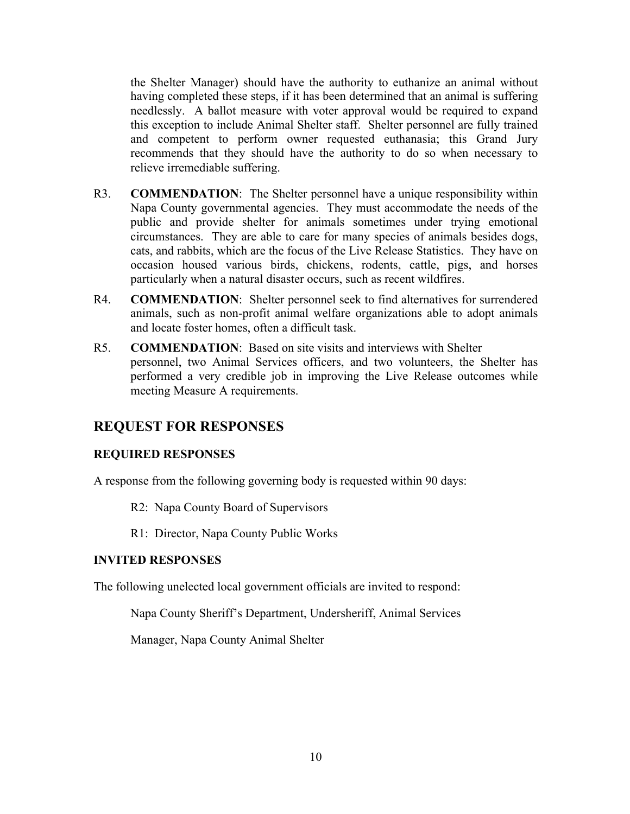the Shelter Manager) should have the authority to euthanize an animal without having completed these steps, if it has been determined that an animal is suffering needlessly. A ballot measure with voter approval would be required to expand this exception to include Animal Shelter staff. Shelter personnel are fully trained and competent to perform owner requested euthanasia; this Grand Jury recommends that they should have the authority to do so when necessary to relieve irremediable suffering.

- R3. **COMMENDATION**: The Shelter personnel have a unique responsibility within Napa County governmental agencies. They must accommodate the needs of the public and provide shelter for animals sometimes under trying emotional circumstances. They are able to care for many species of animals besides dogs, cats, and rabbits, which are the focus of the Live Release Statistics. They have on occasion housed various birds, chickens, rodents, cattle, pigs, and horses particularly when a natural disaster occurs, such as recent wildfires.
- R4. **COMMENDATION**: Shelter personnel seek to find alternatives for surrendered animals, such as non-profit animal welfare organizations able to adopt animals and locate foster homes, often a difficult task.
- R5. **COMMENDATION**: Based on site visits and interviews with Shelter personnel, two Animal Services officers, and two volunteers, the Shelter has performed a very credible job in improving the Live Release outcomes while meeting Measure A requirements.

# **REQUEST FOR RESPONSES**

### **REQUIRED RESPONSES**

A response from the following governing body is requested within 90 days:

- R2: Napa County Board of Supervisors
- R1: Director, Napa County Public Works

#### **INVITED RESPONSES**

The following unelected local government officials are invited to respond:

Napa County Sheriff's Department, Undersheriff, Animal Services

Manager, Napa County Animal Shelter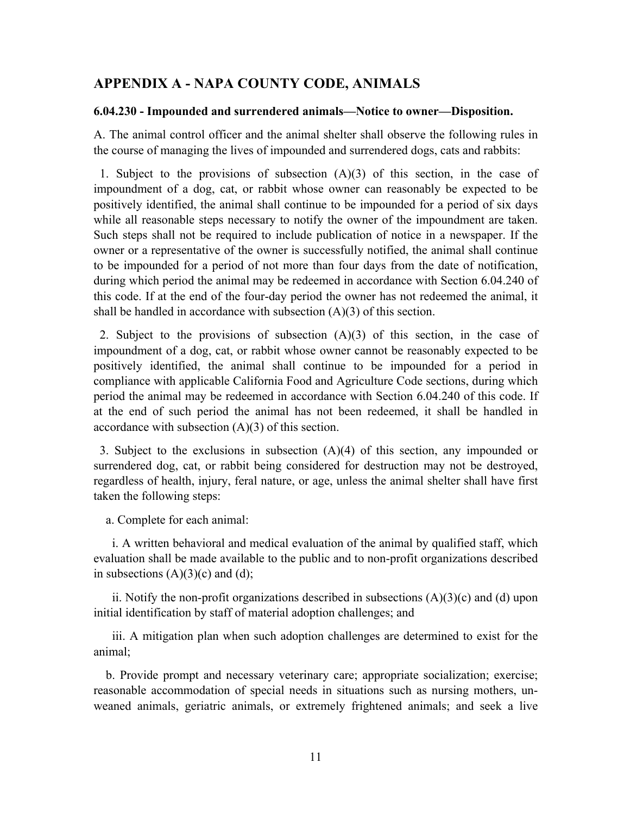### **APPENDIX A - NAPA COUNTY CODE, ANIMALS**

#### **6.04.230 - Impounded and surrendered animals—Notice to owner—Disposition.**

A. The animal control officer and the animal shelter shall observe the following rules in the course of managing the lives of impounded and surrendered dogs, cats and rabbits:

 1. Subject to the provisions of subsection (A)(3) of this section, in the case of impoundment of a dog, cat, or rabbit whose owner can reasonably be expected to be positively identified, the animal shall continue to be impounded for a period of six days while all reasonable steps necessary to notify the owner of the impoundment are taken. Such steps shall not be required to include publication of notice in a newspaper. If the owner or a representative of the owner is successfully notified, the animal shall continue to be impounded for a period of not more than four days from the date of notification, during which period the animal may be redeemed in accordance with Section 6.04.240 of this code. If at the end of the four-day period the owner has not redeemed the animal, it shall be handled in accordance with subsection (A)(3) of this section.

2. Subject to the provisions of subsection  $(A)(3)$  of this section, in the case of impoundment of a dog, cat, or rabbit whose owner cannot be reasonably expected to be positively identified, the animal shall continue to be impounded for a period in compliance with applicable California Food and Agriculture Code sections, during which period the animal may be redeemed in accordance with Section 6.04.240 of this code. If at the end of such period the animal has not been redeemed, it shall be handled in accordance with subsection  $(A)(3)$  of this section.

 3. Subject to the exclusions in subsection (A)(4) of this section, any impounded or surrendered dog, cat, or rabbit being considered for destruction may not be destroyed, regardless of health, injury, feral nature, or age, unless the animal shelter shall have first taken the following steps:

a. Complete for each animal:

 i. A written behavioral and medical evaluation of the animal by qualified staff, which evaluation shall be made available to the public and to non-profit organizations described in subsections  $(A)(3)(c)$  and  $(d)$ ;

ii. Notify the non-profit organizations described in subsections  $(A)(3)(c)$  and  $(d)$  upon initial identification by staff of material adoption challenges; and

 iii. A mitigation plan when such adoption challenges are determined to exist for the animal;

 b. Provide prompt and necessary veterinary care; appropriate socialization; exercise; reasonable accommodation of special needs in situations such as nursing mothers, unweaned animals, geriatric animals, or extremely frightened animals; and seek a live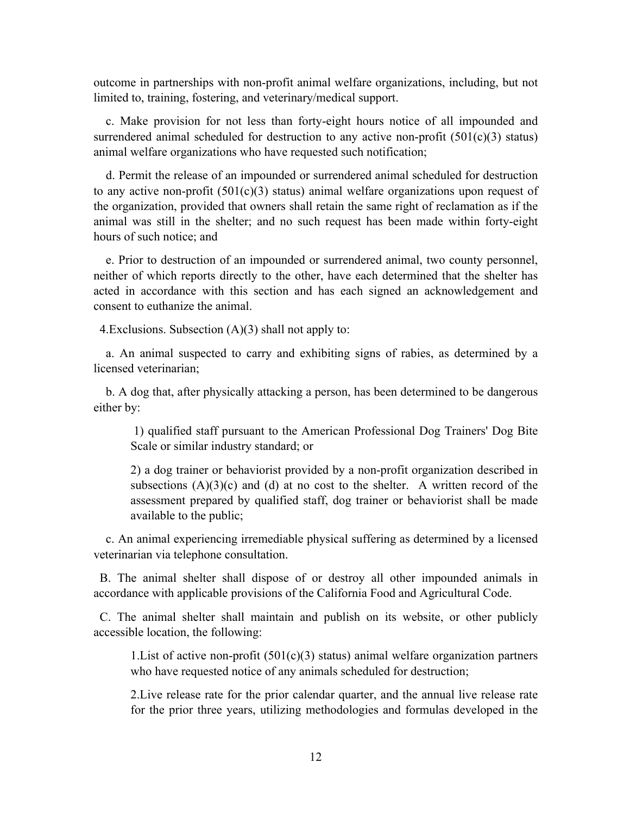outcome in partnerships with non-profit animal welfare organizations, including, but not limited to, training, fostering, and veterinary/medical support.

 c. Make provision for not less than forty-eight hours notice of all impounded and surrendered animal scheduled for destruction to any active non-profit  $(501(c)(3)$  status) animal welfare organizations who have requested such notification;

 d. Permit the release of an impounded or surrendered animal scheduled for destruction to any active non-profit  $(501(c)(3)$  status) animal welfare organizations upon request of the organization, provided that owners shall retain the same right of reclamation as if the animal was still in the shelter; and no such request has been made within forty-eight hours of such notice; and

 e. Prior to destruction of an impounded or surrendered animal, two county personnel, neither of which reports directly to the other, have each determined that the shelter has acted in accordance with this section and has each signed an acknowledgement and consent to euthanize the animal.

4. Exclusions. Subsection  $(A)(3)$  shall not apply to:

 a. An animal suspected to carry and exhibiting signs of rabies, as determined by a licensed veterinarian;

 b. A dog that, after physically attacking a person, has been determined to be dangerous either by:

1) qualified staff pursuant to the American Professional Dog Trainers' Dog Bite Scale or similar industry standard; or

2) a dog trainer or behaviorist provided by a non-profit organization described in subsections  $(A)(3)(c)$  and  $(d)$  at no cost to the shelter. A written record of the assessment prepared by qualified staff, dog trainer or behaviorist shall be made available to the public;

 c. An animal experiencing irremediable physical suffering as determined by a licensed veterinarian via telephone consultation.

 B. The animal shelter shall dispose of or destroy all other impounded animals in accordance with applicable provisions of the California Food and Agricultural Code.

 C. The animal shelter shall maintain and publish on its website, or other publicly accessible location, the following:

1. List of active non-profit  $(501(c)(3)$  status) animal welfare organization partners who have requested notice of any animals scheduled for destruction;

2.Live release rate for the prior calendar quarter, and the annual live release rate for the prior three years, utilizing methodologies and formulas developed in the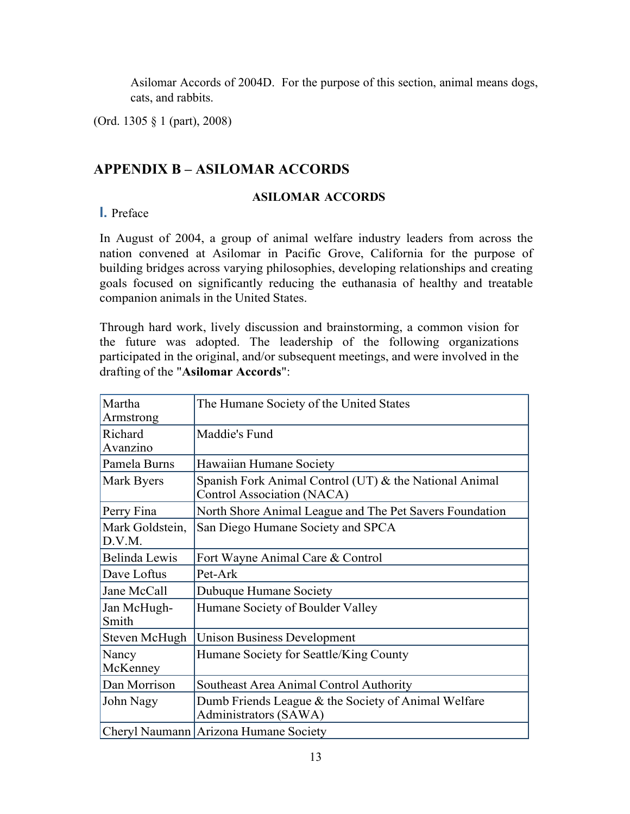Asilomar Accords of 2004D. For the purpose of this section, animal means dogs, cats, and rabbits.

(Ord. 1305 § 1 (part), 2008)

# **APPENDIX B – ASILOMAR ACCORDS**

### **ASILOMAR ACCORDS**

**I.** Preface

In August of 2004, a group of animal welfare industry leaders from across the nation convened at Asilomar in Pacific Grove, California for the purpose of building bridges across varying philosophies, developing relationships and creating goals focused on significantly reducing the euthanasia of healthy and treatable companion animals in the United States.

Through hard work, lively discussion and brainstorming, a common vision for the future was adopted. The leadership of the following organizations participated in the original, and/or subsequent meetings, and were involved in the drafting of the "**Asilomar Accords**":

| Martha<br>Armstrong       | The Humane Society of the United States                                              |
|---------------------------|--------------------------------------------------------------------------------------|
| Richard<br>Avanzino       | Maddie's Fund                                                                        |
| Pamela Burns              | Hawaiian Humane Society                                                              |
| Mark Byers                | Spanish Fork Animal Control (UT) & the National Animal<br>Control Association (NACA) |
| Perry Fina                | North Shore Animal League and The Pet Savers Foundation                              |
| Mark Goldstein,<br>D.V.M. | San Diego Humane Society and SPCA                                                    |
| Belinda Lewis             | Fort Wayne Animal Care & Control                                                     |
| Dave Loftus               | Pet-Ark                                                                              |
| Jane McCall               | Dubuque Humane Society                                                               |
| Jan McHugh-<br>Smith      | Humane Society of Boulder Valley                                                     |
| Steven McHugh             | <b>Unison Business Development</b>                                                   |
| Nancy<br>McKenney         | Humane Society for Seattle/King County                                               |
| Dan Morrison              | Southeast Area Animal Control Authority                                              |
| John Nagy                 | Dumb Friends League & the Society of Animal Welfare<br>Administrators (SAWA)         |
|                           | Cheryl Naumann   Arizona Humane Society                                              |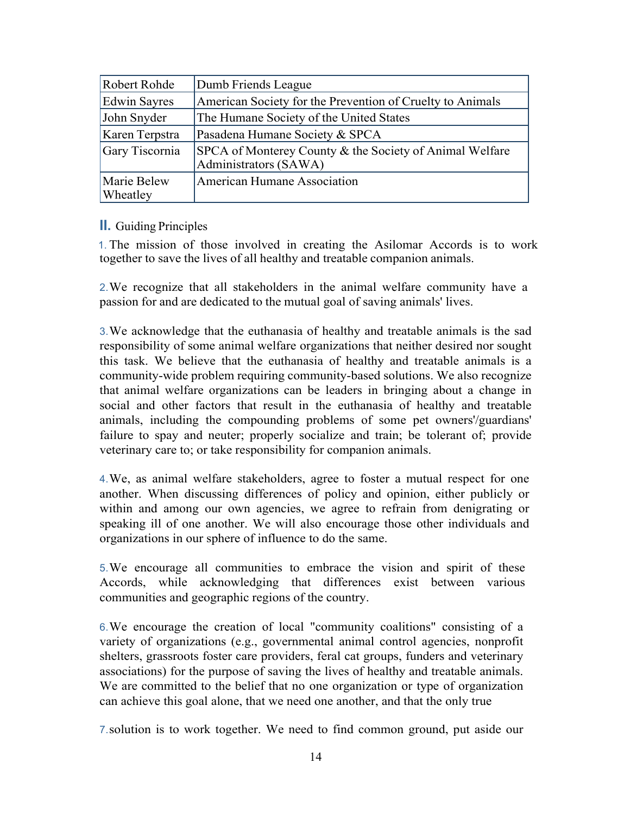| Robert Rohde            | Dumb Friends League                                                              |
|-------------------------|----------------------------------------------------------------------------------|
| <b>Edwin Sayres</b>     | American Society for the Prevention of Cruelty to Animals                        |
| John Snyder             | The Humane Society of the United States                                          |
| Karen Terpstra          | Pasadena Humane Society & SPCA                                                   |
| Gary Tiscornia          | SPCA of Monterey County & the Society of Animal Welfare<br>Administrators (SAWA) |
| Marie Belew<br>Wheatley | American Humane Association                                                      |

### **II.** Guiding Principles

1. The mission of those involved in creating the Asilomar Accords is to work together to save the lives of all healthy and treatable companion animals.

2.We recognize that all stakeholders in the animal welfare community have a passion for and are dedicated to the mutual goal of saving animals' lives.

3.We acknowledge that the euthanasia of healthy and treatable animals is the sad responsibility of some animal welfare organizations that neither desired nor sought this task. We believe that the euthanasia of healthy and treatable animals is a community-wide problem requiring community-based solutions. We also recognize that animal welfare organizations can be leaders in bringing about a change in social and other factors that result in the euthanasia of healthy and treatable animals, including the compounding problems of some pet owners'/guardians' failure to spay and neuter; properly socialize and train; be tolerant of; provide veterinary care to; or take responsibility for companion animals.

4.We, as animal welfare stakeholders, agree to foster a mutual respect for one another. When discussing differences of policy and opinion, either publicly or within and among our own agencies, we agree to refrain from denigrating or speaking ill of one another. We will also encourage those other individuals and organizations in our sphere of influence to do the same.

5.We encourage all communities to embrace the vision and spirit of these Accords, while acknowledging that differences exist between various communities and geographic regions of the country.

6.We encourage the creation of local "community coalitions" consisting of a variety of organizations (e.g., governmental animal control agencies, nonprofit shelters, grassroots foster care providers, feral cat groups, funders and veterinary associations) for the purpose of saving the lives of healthy and treatable animals. We are committed to the belief that no one organization or type of organization can achieve this goal alone, that we need one another, and that the only true

7.solution is to work together. We need to find common ground, put aside our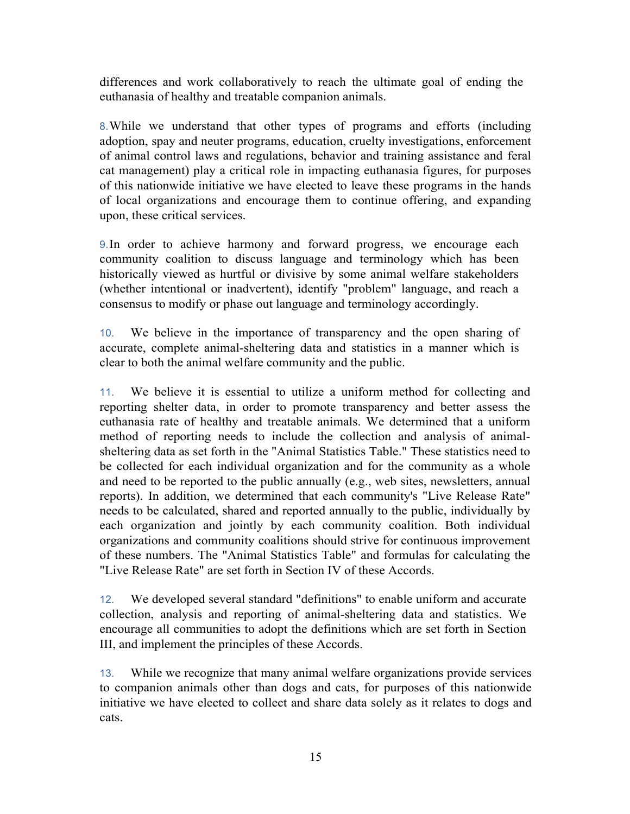differences and work collaboratively to reach the ultimate goal of ending the euthanasia of healthy and treatable companion animals.

8.While we understand that other types of programs and efforts (including adoption, spay and neuter programs, education, cruelty investigations, enforcement of animal control laws and regulations, behavior and training assistance and feral cat management) play a critical role in impacting euthanasia figures, for purposes of this nationwide initiative we have elected to leave these programs in the hands of local organizations and encourage them to continue offering, and expanding upon, these critical services.

9.In order to achieve harmony and forward progress, we encourage each community coalition to discuss language and terminology which has been historically viewed as hurtful or divisive by some animal welfare stakeholders (whether intentional or inadvertent), identify "problem" language, and reach a consensus to modify or phase out language and terminology accordingly.

10. We believe in the importance of transparency and the open sharing of accurate, complete animal-sheltering data and statistics in a manner which is clear to both the animal welfare community and the public.

11. We believe it is essential to utilize a uniform method for collecting and reporting shelter data, in order to promote transparency and better assess the euthanasia rate of healthy and treatable animals. We determined that a uniform method of reporting needs to include the collection and analysis of animalsheltering data as set forth in the "Animal Statistics Table." These statistics need to be collected for each individual organization and for the community as a whole and need to be reported to the public annually (e.g., web sites, newsletters, annual reports). In addition, we determined that each community's "Live Release Rate" needs to be calculated, shared and reported annually to the public, individually by each organization and jointly by each community coalition. Both individual organizations and community coalitions should strive for continuous improvement of these numbers. The "Animal Statistics Table" and formulas for calculating the "Live Release Rate" are set forth in Section IV of these Accords.

12. We developed several standard "definitions" to enable uniform and accurate collection, analysis and reporting of animal-sheltering data and statistics. We encourage all communities to adopt the definitions which are set forth in Section III, and implement the principles of these Accords.

13. While we recognize that many animal welfare organizations provide services to companion animals other than dogs and cats, for purposes of this nationwide initiative we have elected to collect and share data solely as it relates to dogs and cats.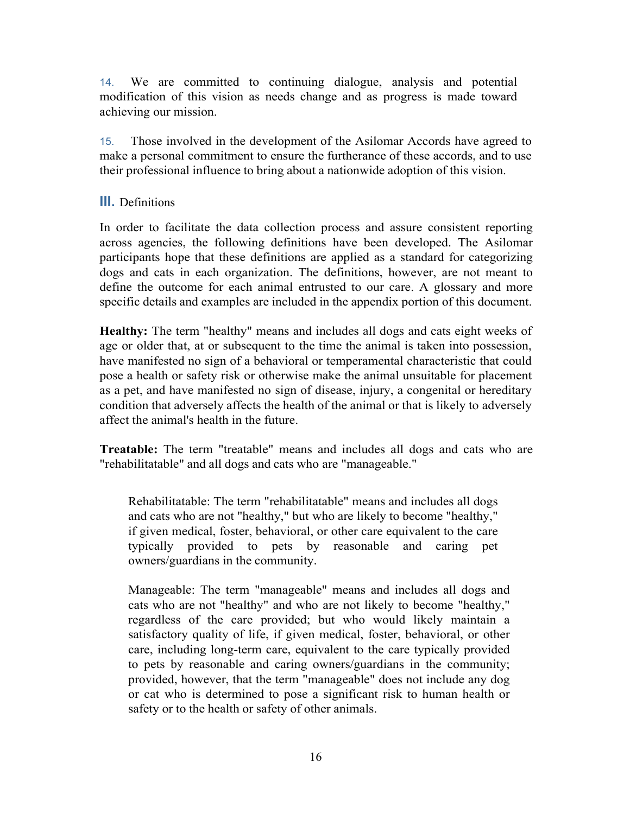14. We are committed to continuing dialogue, analysis and potential modification of this vision as needs change and as progress is made toward achieving our mission.

15. Those involved in the development of the Asilomar Accords have agreed to make a personal commitment to ensure the furtherance of these accords, and to use their professional influence to bring about a nationwide adoption of this vision.

### **III.** Definitions

In order to facilitate the data collection process and assure consistent reporting across agencies, the following definitions have been developed. The Asilomar participants hope that these definitions are applied as a standard for categorizing dogs and cats in each organization. The definitions, however, are not meant to define the outcome for each animal entrusted to our care. A glossary and more specific details and examples are included in the appendix portion of this document.

**Healthy:** The term "healthy" means and includes all dogs and cats eight weeks of age or older that, at or subsequent to the time the animal is taken into possession, have manifested no sign of a behavioral or temperamental characteristic that could pose a health or safety risk or otherwise make the animal unsuitable for placement as a pet, and have manifested no sign of disease, injury, a congenital or hereditary condition that adversely affects the health of the animal or that is likely to adversely affect the animal's health in the future.

**Treatable:** The term "treatable" means and includes all dogs and cats who are "rehabilitatable" and all dogs and cats who are "manageable."

Rehabilitatable: The term "rehabilitatable" means and includes all dogs and cats who are not "healthy," but who are likely to become "healthy," if given medical, foster, behavioral, or other care equivalent to the care typically provided to pets by reasonable and caring pet owners/guardians in the community.

Manageable: The term "manageable" means and includes all dogs and cats who are not "healthy" and who are not likely to become "healthy," regardless of the care provided; but who would likely maintain a satisfactory quality of life, if given medical, foster, behavioral, or other care, including long-term care, equivalent to the care typically provided to pets by reasonable and caring owners/guardians in the community; provided, however, that the term "manageable" does not include any dog or cat who is determined to pose a significant risk to human health or safety or to the health or safety of other animals.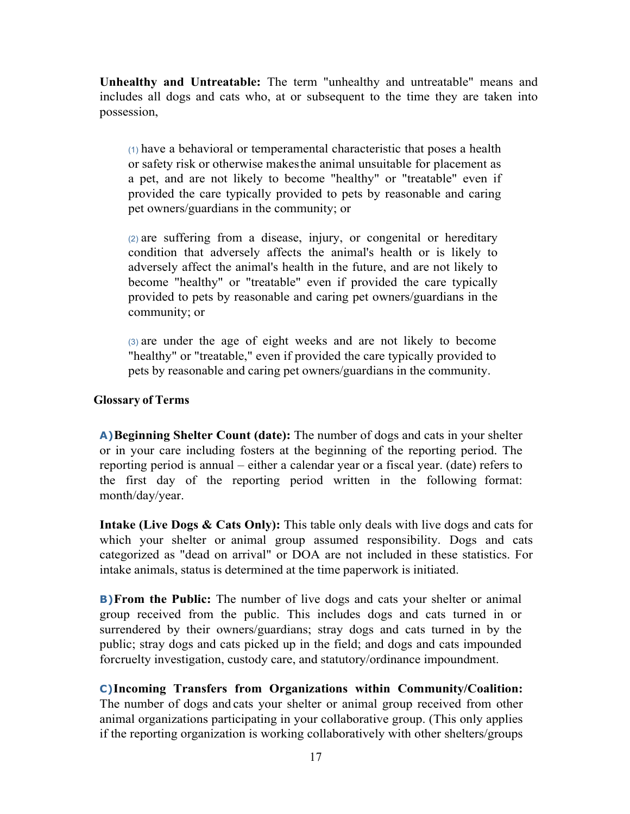**Unhealthy and Untreatable:** The term "unhealthy and untreatable" means and includes all dogs and cats who, at or subsequent to the time they are taken into possession,

(1) have a behavioral or temperamental characteristic that poses a health or safety risk or otherwise makesthe animal unsuitable for placement as a pet, and are not likely to become "healthy" or "treatable" even if provided the care typically provided to pets by reasonable and caring pet owners/guardians in the community; or

(2) are suffering from a disease, injury, or congenital or hereditary condition that adversely affects the animal's health or is likely to adversely affect the animal's health in the future, and are not likely to become "healthy" or "treatable" even if provided the care typically provided to pets by reasonable and caring pet owners/guardians in the community; or

(3) are under the age of eight weeks and are not likely to become "healthy" or "treatable," even if provided the care typically provided to pets by reasonable and caring pet owners/guardians in the community.

### **Glossary of Terms**

**A)Beginning Shelter Count (date):** The number of dogs and cats in your shelter or in your care including fosters at the beginning of the reporting period. The reporting period is annual – either a calendar year or a fiscal year. (date) refers to the first day of the reporting period written in the following format: month/day/year.

**Intake (Live Dogs & Cats Only):** This table only deals with live dogs and cats for which your shelter or animal group assumed responsibility. Dogs and cats categorized as "dead on arrival" or DOA are not included in these statistics. For intake animals, status is determined at the time paperwork is initiated.

**B)From the Public:** The number of live dogs and cats your shelter or animal group received from the public. This includes dogs and cats turned in or surrendered by their owners/guardians; stray dogs and cats turned in by the public; stray dogs and cats picked up in the field; and dogs and cats impounded forcruelty investigation, custody care, and statutory/ordinance impoundment.

**C)Incoming Transfers from Organizations within Community/Coalition:** The number of dogs and cats your shelter or animal group received from other animal organizations participating in your collaborative group. (This only applies if the reporting organization is working collaboratively with other shelters/groups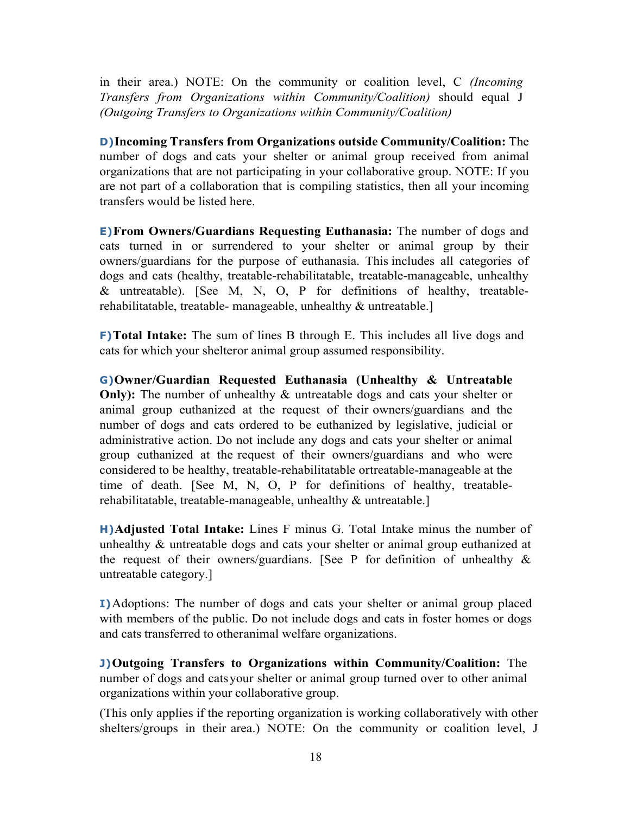in their area.) NOTE: On the community or coalition level, C *(Incoming Transfers from Organizations within Community/Coalition)* should equal J *(Outgoing Transfers to Organizations within Community/Coalition)*

**D)Incoming Transfers from Organizations outside Community/Coalition:** The number of dogs and cats your shelter or animal group received from animal organizations that are not participating in your collaborative group. NOTE: If you are not part of a collaboration that is compiling statistics, then all your incoming transfers would be listed here.

**E)From Owners/Guardians Requesting Euthanasia:** The number of dogs and cats turned in or surrendered to your shelter or animal group by their owners/guardians for the purpose of euthanasia. This includes all categories of dogs and cats (healthy, treatable-rehabilitatable, treatable-manageable, unhealthy & untreatable). [See M, N, O, P for definitions of healthy, treatablerehabilitatable, treatable- manageable, unhealthy & untreatable.]

**F)Total Intake:** The sum of lines B through E. This includes all live dogs and cats for which your shelteror animal group assumed responsibility.

**G)Owner/Guardian Requested Euthanasia (Unhealthy & Untreatable Only**): The number of unhealthy & untreatable dogs and cats your shelter or animal group euthanized at the request of their owners/guardians and the number of dogs and cats ordered to be euthanized by legislative, judicial or administrative action. Do not include any dogs and cats your shelter or animal group euthanized at the request of their owners/guardians and who were considered to be healthy, treatable-rehabilitatable ortreatable-manageable at the time of death. [See M, N, O, P for definitions of healthy, treatablerehabilitatable, treatable-manageable, unhealthy & untreatable.]

**H)Adjusted Total Intake:** Lines F minus G. Total Intake minus the number of unhealthy & untreatable dogs and cats your shelter or animal group euthanized at the request of their owners/guardians. [See P for definition of unhealthy  $\&$ untreatable category.]

**I)**Adoptions: The number of dogs and cats your shelter or animal group placed with members of the public. Do not include dogs and cats in foster homes or dogs and cats transferred to otheranimal welfare organizations.

**J)Outgoing Transfers to Organizations within Community/Coalition:** The number of dogs and catsyour shelter or animal group turned over to other animal organizations within your collaborative group.

(This only applies if the reporting organization is working collaboratively with other shelters/groups in their area.) NOTE: On the community or coalition level, J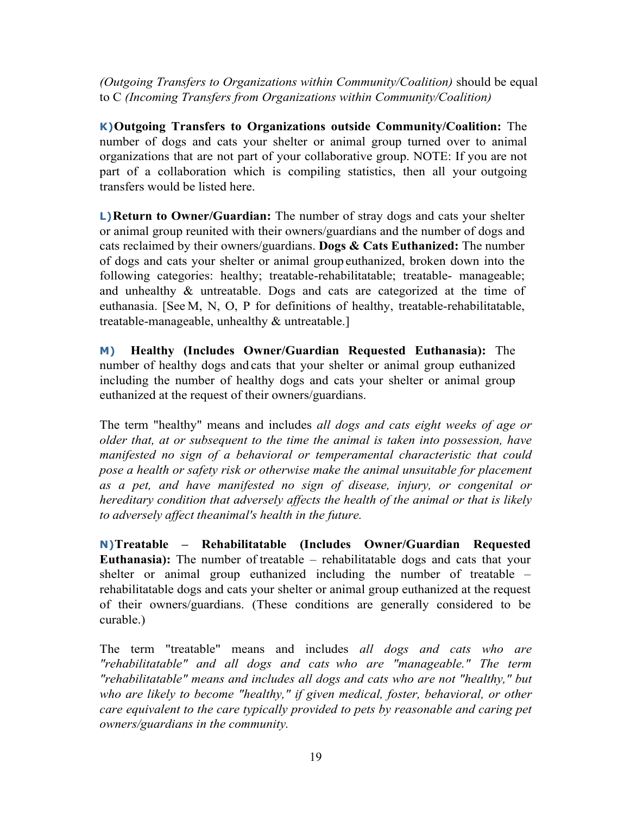*(Outgoing Transfers to Organizations within Community/Coalition)* should be equal to C *(Incoming Transfers from Organizations within Community/Coalition)*

**K)Outgoing Transfers to Organizations outside Community/Coalition:** The number of dogs and cats your shelter or animal group turned over to animal organizations that are not part of your collaborative group. NOTE: If you are not part of a collaboration which is compiling statistics, then all your outgoing transfers would be listed here.

**L)Return to Owner/Guardian:** The number of stray dogs and cats your shelter or animal group reunited with their owners/guardians and the number of dogs and cats reclaimed by their owners/guardians. **Dogs & Cats Euthanized:** The number of dogs and cats your shelter or animal group euthanized, broken down into the following categories: healthy; treatable-rehabilitatable; treatable- manageable; and unhealthy & untreatable. Dogs and cats are categorized at the time of euthanasia. [See M, N, O, P for definitions of healthy, treatable-rehabilitatable, treatable-manageable, unhealthy & untreatable.]

**M) Healthy (Includes Owner/Guardian Requested Euthanasia):** The number of healthy dogs and cats that your shelter or animal group euthanized including the number of healthy dogs and cats your shelter or animal group euthanized at the request of their owners/guardians.

The term "healthy" means and includes *all dogs and cats eight weeks of age or older that, at or subsequent to the time the animal is taken into possession, have manifested no sign of a behavioral or temperamental characteristic that could pose a health or safety risk or otherwise make the animal unsuitable for placement as a pet, and have manifested no sign of disease, injury, or congenital or hereditary condition that adversely affects the health of the animal or that is likely to adversely affect theanimal's health in the future.*

**N)Treatable – Rehabilitatable (Includes Owner/Guardian Requested Euthanasia):** The number of treatable – rehabilitatable dogs and cats that your shelter or animal group euthanized including the number of treatable – rehabilitatable dogs and cats your shelter or animal group euthanized at the request of their owners/guardians. (These conditions are generally considered to be curable.)

The term "treatable" means and includes *all dogs and cats who are "rehabilitatable" and all dogs and cats who are "manageable." The term "rehabilitatable" means and includes all dogs and cats who are not "healthy," but who are likely to become "healthy," if given medical, foster, behavioral, or other care equivalent to the care typically provided to pets by reasonable and caring pet owners/guardians in the community.*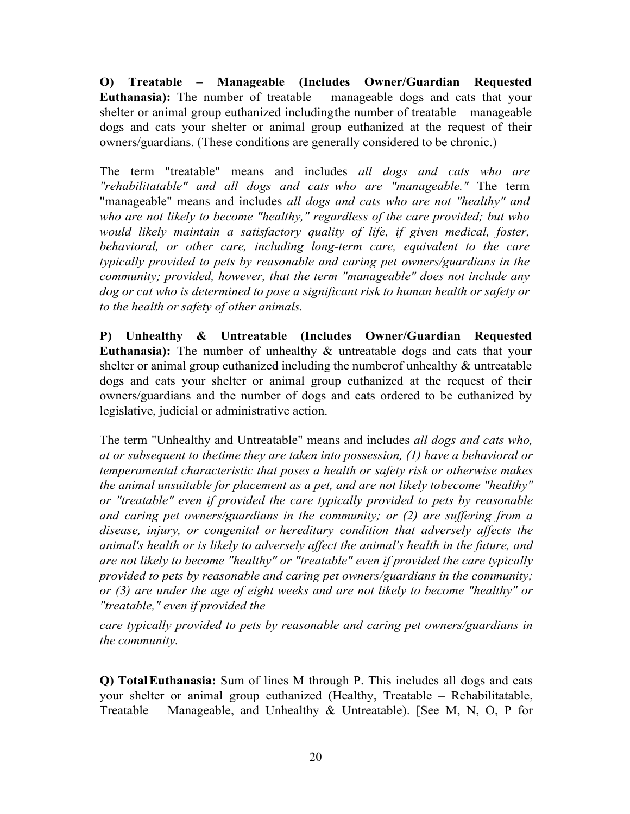**O) Treatable – Manageable (Includes Owner/Guardian Requested Euthanasia):** The number of treatable – manageable dogs and cats that your shelter or animal group euthanized includingthe number of treatable – manageable dogs and cats your shelter or animal group euthanized at the request of their owners/guardians. (These conditions are generally considered to be chronic.)

The term "treatable" means and includes *all dogs and cats who are "rehabilitatable" and all dogs and cats who are "manageable."* The term "manageable" means and includes *all dogs and cats who are not "healthy" and who are not likely to become "healthy," regardless of the care provided; but who would likely maintain a satisfactory quality of life, if given medical, foster, behavioral, or other care, including long-term care, equivalent to the care typically provided to pets by reasonable and caring pet owners/guardians in the community; provided, however, that the term "manageable" does not include any dog or cat who is determined to pose a significant risk to human health or safety or to the health or safety of other animals.*

**P) Unhealthy & Untreatable (Includes Owner/Guardian Requested Euthanasia):** The number of unhealthy & untreatable dogs and cats that your shelter or animal group euthanized including the numberof unhealthy & untreatable dogs and cats your shelter or animal group euthanized at the request of their owners/guardians and the number of dogs and cats ordered to be euthanized by legislative, judicial or administrative action.

The term "Unhealthy and Untreatable" means and includes *all dogs and cats who, at or subsequent to thetime they are taken into possession, (1) have a behavioral or temperamental characteristic that poses a health or safety risk or otherwise makes the animal unsuitable for placement as a pet, and are not likely tobecome "healthy" or "treatable" even if provided the care typically provided to pets by reasonable and caring pet owners/guardians in the community; or (2) are suffering from a disease, injury, or congenital or hereditary condition that adversely affects the animal's health or is likely to adversely affect the animal's health in the future, and are not likely to become "healthy" or "treatable" even if provided the care typically provided to pets by reasonable and caring pet owners/guardians in the community; or (3) are under the age of eight weeks and are not likely to become "healthy" or "treatable," even if provided the*

*care typically provided to pets by reasonable and caring pet owners/guardians in the community.*

**Q) TotalEuthanasia:** Sum of lines M through P. This includes all dogs and cats your shelter or animal group euthanized (Healthy, Treatable – Rehabilitatable, Treatable – Manageable, and Unhealthy & Untreatable). [See M, N, O, P for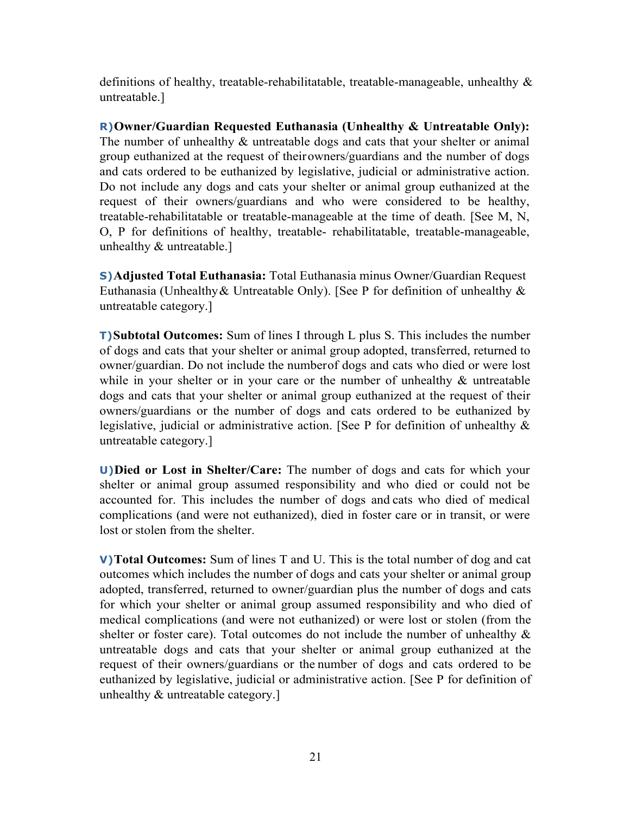definitions of healthy, treatable-rehabilitatable, treatable-manageable, unhealthy & untreatable.]

**R)Owner/Guardian Requested Euthanasia (Unhealthy & Untreatable Only):**  The number of unhealthy & untreatable dogs and cats that your shelter or animal group euthanized at the request of theirowners/guardians and the number of dogs and cats ordered to be euthanized by legislative, judicial or administrative action. Do not include any dogs and cats your shelter or animal group euthanized at the request of their owners/guardians and who were considered to be healthy, treatable-rehabilitatable or treatable-manageable at the time of death. [See M, N, O, P for definitions of healthy, treatable- rehabilitatable, treatable-manageable, unhealthy & untreatable.]

**S)Adjusted Total Euthanasia:** Total Euthanasia minus Owner/Guardian Request Euthanasia (Unhealthy& Untreatable Only). [See P for definition of unhealthy & untreatable category.]

**T)Subtotal Outcomes:** Sum of lines I through L plus S. This includes the number of dogs and cats that your shelter or animal group adopted, transferred, returned to owner/guardian. Do not include the numberof dogs and cats who died or were lost while in your shelter or in your care or the number of unhealthy  $\&$  untreatable dogs and cats that your shelter or animal group euthanized at the request of their owners/guardians or the number of dogs and cats ordered to be euthanized by legislative, judicial or administrative action. [See P for definition of unhealthy & untreatable category.]

**U)Died or Lost in Shelter/Care:** The number of dogs and cats for which your shelter or animal group assumed responsibility and who died or could not be accounted for. This includes the number of dogs and cats who died of medical complications (and were not euthanized), died in foster care or in transit, or were lost or stolen from the shelter.

**V)Total Outcomes:** Sum of lines T and U. This is the total number of dog and cat outcomes which includes the number of dogs and cats your shelter or animal group adopted, transferred, returned to owner/guardian plus the number of dogs and cats for which your shelter or animal group assumed responsibility and who died of medical complications (and were not euthanized) or were lost or stolen (from the shelter or foster care). Total outcomes do not include the number of unhealthy & untreatable dogs and cats that your shelter or animal group euthanized at the request of their owners/guardians or the number of dogs and cats ordered to be euthanized by legislative, judicial or administrative action. [See P for definition of unhealthy & untreatable category.]